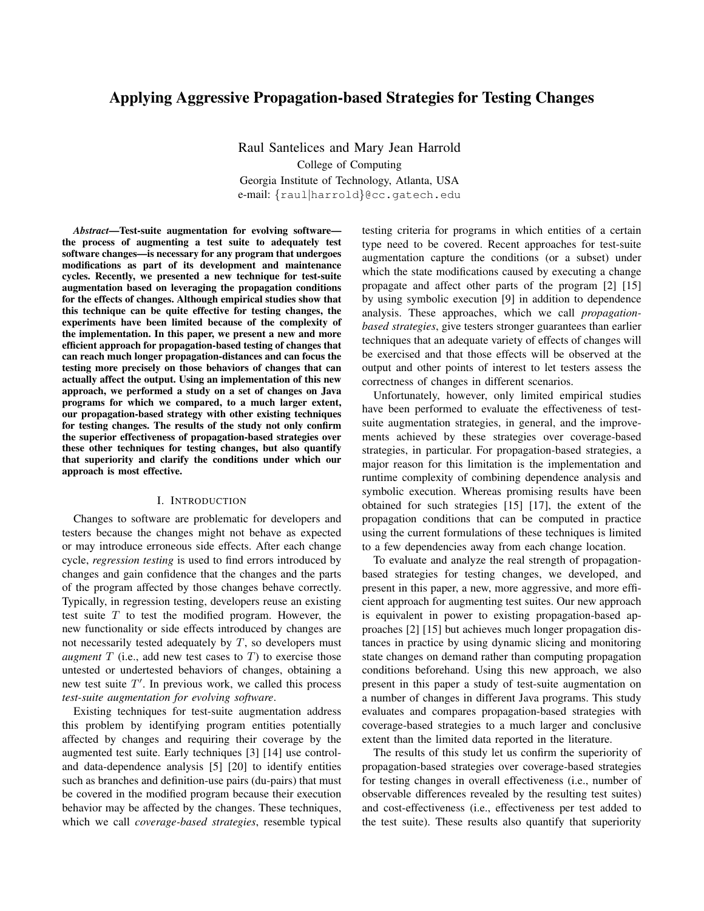# Applying Aggressive Propagation-based Strategies for Testing Changes

Raul Santelices and Mary Jean Harrold College of Computing Georgia Institute of Technology, Atlanta, USA e-mail: {raul|harrold}@cc.gatech.edu

*Abstract*—Test-suite augmentation for evolving software the process of augmenting a test suite to adequately test software changes—is necessary for any program that undergoes modifications as part of its development and maintenance cycles. Recently, we presented a new technique for test-suite augmentation based on leveraging the propagation conditions for the effects of changes. Although empirical studies show that this technique can be quite effective for testing changes, the experiments have been limited because of the complexity of the implementation. In this paper, we present a new and more efficient approach for propagation-based testing of changes that can reach much longer propagation-distances and can focus the testing more precisely on those behaviors of changes that can actually affect the output. Using an implementation of this new approach, we performed a study on a set of changes on Java programs for which we compared, to a much larger extent, our propagation-based strategy with other existing techniques for testing changes. The results of the study not only confirm the superior effectiveness of propagation-based strategies over these other techniques for testing changes, but also quantify that superiority and clarify the conditions under which our approach is most effective.

# I. INTRODUCTION

Changes to software are problematic for developers and testers because the changes might not behave as expected or may introduce erroneous side effects. After each change cycle, *regression testing* is used to find errors introduced by changes and gain confidence that the changes and the parts of the program affected by those changes behave correctly. Typically, in regression testing, developers reuse an existing test suite  $T$  to test the modified program. However, the new functionality or side effects introduced by changes are not necessarily tested adequately by  $T$ , so developers must *augment*  $T$  (i.e., add new test cases to  $T$ ) to exercise those untested or undertested behaviors of changes, obtaining a new test suite  $T'$ . In previous work, we called this process *test-suite augmentation for evolving software*.

Existing techniques for test-suite augmentation address this problem by identifying program entities potentially affected by changes and requiring their coverage by the augmented test suite. Early techniques [3] [14] use controland data-dependence analysis [5] [20] to identify entities such as branches and definition-use pairs (du-pairs) that must be covered in the modified program because their execution behavior may be affected by the changes. These techniques, which we call *coverage-based strategies*, resemble typical testing criteria for programs in which entities of a certain type need to be covered. Recent approaches for test-suite augmentation capture the conditions (or a subset) under which the state modifications caused by executing a change propagate and affect other parts of the program [2] [15] by using symbolic execution [9] in addition to dependence analysis. These approaches, which we call *propagationbased strategies*, give testers stronger guarantees than earlier techniques that an adequate variety of effects of changes will be exercised and that those effects will be observed at the output and other points of interest to let testers assess the correctness of changes in different scenarios.

Unfortunately, however, only limited empirical studies have been performed to evaluate the effectiveness of testsuite augmentation strategies, in general, and the improvements achieved by these strategies over coverage-based strategies, in particular. For propagation-based strategies, a major reason for this limitation is the implementation and runtime complexity of combining dependence analysis and symbolic execution. Whereas promising results have been obtained for such strategies [15] [17], the extent of the propagation conditions that can be computed in practice using the current formulations of these techniques is limited to a few dependencies away from each change location.

To evaluate and analyze the real strength of propagationbased strategies for testing changes, we developed, and present in this paper, a new, more aggressive, and more efficient approach for augmenting test suites. Our new approach is equivalent in power to existing propagation-based approaches [2] [15] but achieves much longer propagation distances in practice by using dynamic slicing and monitoring state changes on demand rather than computing propagation conditions beforehand. Using this new approach, we also present in this paper a study of test-suite augmentation on a number of changes in different Java programs. This study evaluates and compares propagation-based strategies with coverage-based strategies to a much larger and conclusive extent than the limited data reported in the literature.

The results of this study let us confirm the superiority of propagation-based strategies over coverage-based strategies for testing changes in overall effectiveness (i.e., number of observable differences revealed by the resulting test suites) and cost-effectiveness (i.e., effectiveness per test added to the test suite). These results also quantify that superiority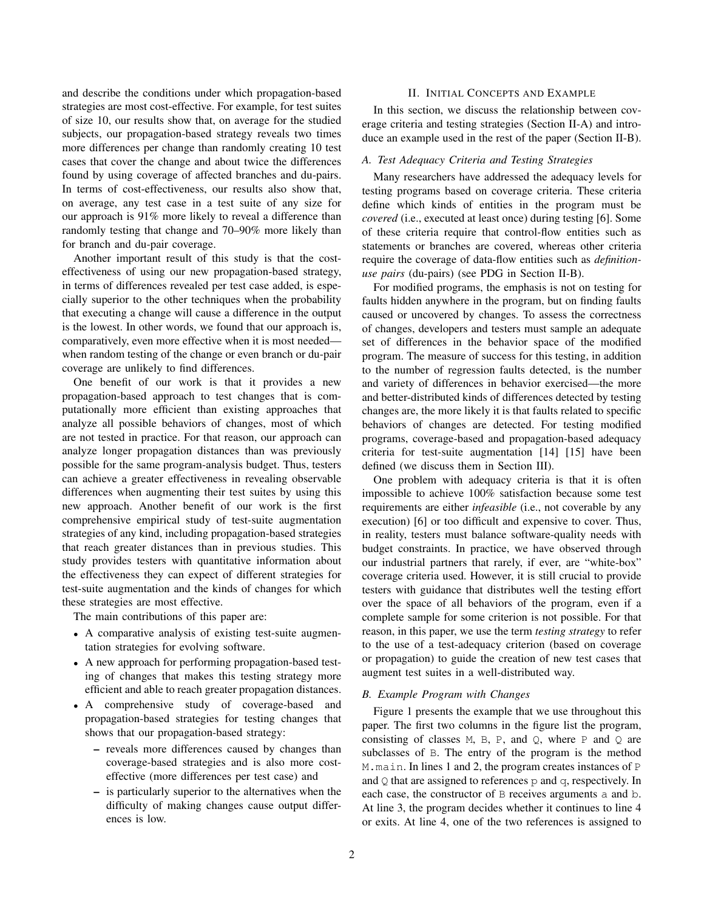and describe the conditions under which propagation-based strategies are most cost-effective. For example, for test suites of size 10, our results show that, on average for the studied subjects, our propagation-based strategy reveals two times more differences per change than randomly creating 10 test cases that cover the change and about twice the differences found by using coverage of affected branches and du-pairs. In terms of cost-effectiveness, our results also show that, on average, any test case in a test suite of any size for our approach is 91% more likely to reveal a difference than randomly testing that change and 70–90% more likely than for branch and du-pair coverage.

Another important result of this study is that the costeffectiveness of using our new propagation-based strategy, in terms of differences revealed per test case added, is especially superior to the other techniques when the probability that executing a change will cause a difference in the output is the lowest. In other words, we found that our approach is, comparatively, even more effective when it is most needed when random testing of the change or even branch or du-pair coverage are unlikely to find differences.

One benefit of our work is that it provides a new propagation-based approach to test changes that is computationally more efficient than existing approaches that analyze all possible behaviors of changes, most of which are not tested in practice. For that reason, our approach can analyze longer propagation distances than was previously possible for the same program-analysis budget. Thus, testers can achieve a greater effectiveness in revealing observable differences when augmenting their test suites by using this new approach. Another benefit of our work is the first comprehensive empirical study of test-suite augmentation strategies of any kind, including propagation-based strategies that reach greater distances than in previous studies. This study provides testers with quantitative information about the effectiveness they can expect of different strategies for test-suite augmentation and the kinds of changes for which these strategies are most effective.

The main contributions of this paper are:

- A comparative analysis of existing test-suite augmentation strategies for evolving software.
- A new approach for performing propagation-based testing of changes that makes this testing strategy more efficient and able to reach greater propagation distances.
- A comprehensive study of coverage-based and propagation-based strategies for testing changes that shows that our propagation-based strategy:
	- reveals more differences caused by changes than coverage-based strategies and is also more costeffective (more differences per test case) and
	- is particularly superior to the alternatives when the difficulty of making changes cause output differences is low.

# II. INITIAL CONCEPTS AND EXAMPLE

In this section, we discuss the relationship between coverage criteria and testing strategies (Section II-A) and introduce an example used in the rest of the paper (Section II-B).

# *A. Test Adequacy Criteria and Testing Strategies*

Many researchers have addressed the adequacy levels for testing programs based on coverage criteria. These criteria define which kinds of entities in the program must be *covered* (i.e., executed at least once) during testing [6]. Some of these criteria require that control-flow entities such as statements or branches are covered, whereas other criteria require the coverage of data-flow entities such as *definitionuse pairs* (du-pairs) (see PDG in Section II-B).

For modified programs, the emphasis is not on testing for faults hidden anywhere in the program, but on finding faults caused or uncovered by changes. To assess the correctness of changes, developers and testers must sample an adequate set of differences in the behavior space of the modified program. The measure of success for this testing, in addition to the number of regression faults detected, is the number and variety of differences in behavior exercised—the more and better-distributed kinds of differences detected by testing changes are, the more likely it is that faults related to specific behaviors of changes are detected. For testing modified programs, coverage-based and propagation-based adequacy criteria for test-suite augmentation [14] [15] have been defined (we discuss them in Section III).

One problem with adequacy criteria is that it is often impossible to achieve 100% satisfaction because some test requirements are either *infeasible* (i.e., not coverable by any execution) [6] or too difficult and expensive to cover. Thus, in reality, testers must balance software-quality needs with budget constraints. In practice, we have observed through our industrial partners that rarely, if ever, are "white-box" coverage criteria used. However, it is still crucial to provide testers with guidance that distributes well the testing effort over the space of all behaviors of the program, even if a complete sample for some criterion is not possible. For that reason, in this paper, we use the term *testing strategy* to refer to the use of a test-adequacy criterion (based on coverage or propagation) to guide the creation of new test cases that augment test suites in a well-distributed way.

# *B. Example Program with Changes*

Figure 1 presents the example that we use throughout this paper. The first two columns in the figure list the program, consisting of classes  $M$ ,  $B$ ,  $P$ , and  $Q$ , where  $P$  and  $Q$  are subclasses of B. The entry of the program is the method M.main. In lines 1 and 2, the program creates instances of P and  $\Diamond$  that are assigned to references  $\Diamond$  and  $\Diamond$ , respectively. In each case, the constructor of B receives arguments a and b. At line 3, the program decides whether it continues to line 4 or exits. At line 4, one of the two references is assigned to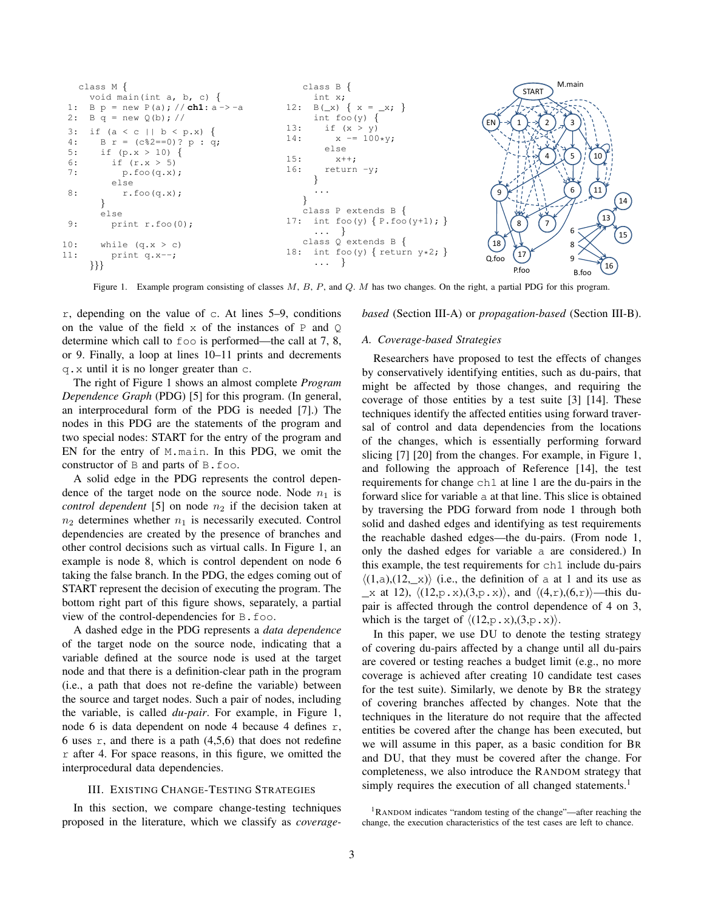

Figure 1. Example program consisting of classes M, B, P, and Q. M has two changes. On the right, a partial PDG for this program.

r, depending on the value of c. At lines 5–9, conditions on the value of the field  $x$  of the instances of P and Q determine which call to foo is performed—the call at 7, 8, or 9. Finally, a loop at lines 10–11 prints and decrements q.x until it is no longer greater than c.

The right of Figure 1 shows an almost complete *Program Dependence Graph* (PDG) [5] for this program. (In general, an interprocedural form of the PDG is needed [7].) The nodes in this PDG are the statements of the program and two special nodes: START for the entry of the program and EN for the entry of M.main. In this PDG, we omit the constructor of B and parts of B.foo.

A solid edge in the PDG represents the control dependence of the target node on the source node. Node  $n_1$  is *control dependent* [5] on node  $n_2$  if the decision taken at  $n_2$  determines whether  $n_1$  is necessarily executed. Control dependencies are created by the presence of branches and other control decisions such as virtual calls. In Figure 1, an example is node 8, which is control dependent on node 6 taking the false branch. In the PDG, the edges coming out of START represent the decision of executing the program. The bottom right part of this figure shows, separately, a partial view of the control-dependencies for B.foo.

A dashed edge in the PDG represents a *data dependence* of the target node on the source node, indicating that a variable defined at the source node is used at the target node and that there is a definition-clear path in the program (i.e., a path that does not re-define the variable) between the source and target nodes. Such a pair of nodes, including the variable, is called *du-pair*. For example, in Figure 1, node 6 is data dependent on node 4 because 4 defines r, 6 uses  $r$ , and there is a path  $(4,5,6)$  that does not redefine r after 4. For space reasons, in this figure, we omitted the interprocedural data dependencies.

## III. EXISTING CHANGE-TESTING STRATEGIES

In this section, we compare change-testing techniques proposed in the literature, which we classify as *coverage-*

#### *based* (Section III-A) or *propagation-based* (Section III-B).

## *A. Coverage-based Strategies*

Researchers have proposed to test the effects of changes by conservatively identifying entities, such as du-pairs, that might be affected by those changes, and requiring the coverage of those entities by a test suite [3] [14]. These techniques identify the affected entities using forward traversal of control and data dependencies from the locations of the changes, which is essentially performing forward slicing [7] [20] from the changes. For example, in Figure 1, and following the approach of Reference [14], the test requirements for change ch1 at line 1 are the du-pairs in the forward slice for variable a at that line. This slice is obtained by traversing the PDG forward from node 1 through both solid and dashed edges and identifying as test requirements the reachable dashed edges—the du-pairs. (From node 1, only the dashed edges for variable a are considered.) In this example, the test requirements for ch1 include du-pairs  $\langle (1,a),(12,\_x) \rangle$  (i.e., the definition of a at 1 and its use as  $\langle x \text{ at } 12 \rangle$ ,  $\langle (12,p,x),(3,p,x) \rangle$ , and  $\langle (4,r),(6,r) \rangle$ —this dupair is affected through the control dependence of 4 on 3, which is the target of  $\langle (12,p.x),(3,p.x)\rangle$ .

In this paper, we use DU to denote the testing strategy of covering du-pairs affected by a change until all du-pairs are covered or testing reaches a budget limit (e.g., no more coverage is achieved after creating 10 candidate test cases for the test suite). Similarly, we denote by BR the strategy of covering branches affected by changes. Note that the techniques in the literature do not require that the affected entities be covered after the change has been executed, but we will assume in this paper, as a basic condition for BR and DU, that they must be covered after the change. For completeness, we also introduce the RANDOM strategy that simply requires the execution of all changed statements.<sup>1</sup>

<sup>1</sup>RANDOM indicates "random testing of the change"—after reaching the change, the execution characteristics of the test cases are left to chance.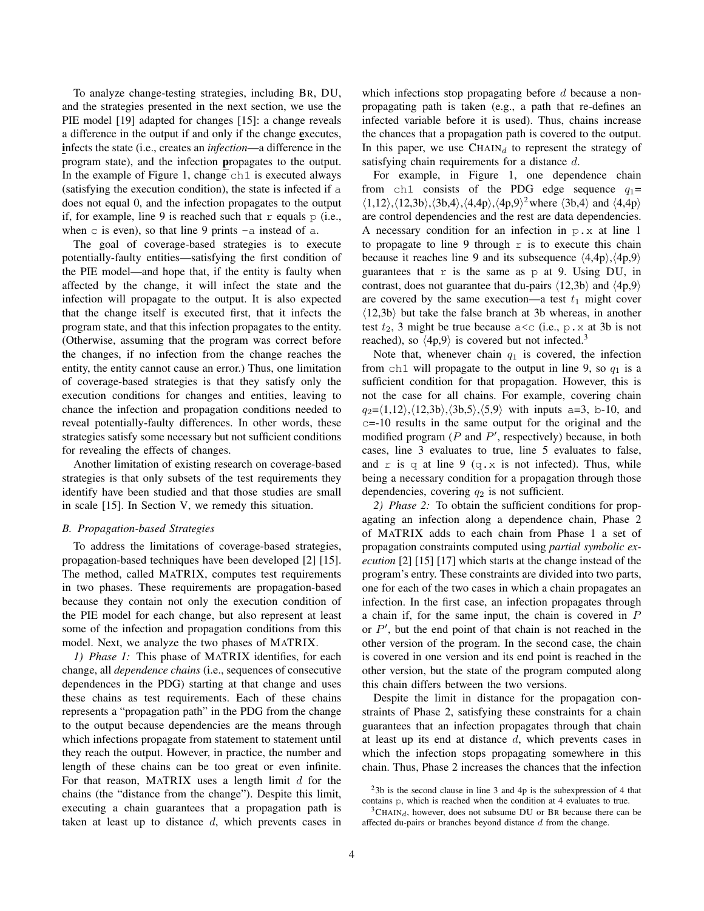To analyze change-testing strategies, including BR, DU, and the strategies presented in the next section, we use the PIE model [19] adapted for changes [15]: a change reveals a difference in the output if and only if the change executes, infects the state (i.e., creates an *infection*—a difference in the program state), and the infection propagates to the output. In the example of Figure 1, change ch1 is executed always (satisfying the execution condition), the state is infected if a does not equal 0, and the infection propagates to the output if, for example, line 9 is reached such that  $r$  equals  $p$  (i.e., when  $\circ$  is even), so that line 9 prints  $-a$  instead of  $a$ .

The goal of coverage-based strategies is to execute potentially-faulty entities—satisfying the first condition of the PIE model—and hope that, if the entity is faulty when affected by the change, it will infect the state and the infection will propagate to the output. It is also expected that the change itself is executed first, that it infects the program state, and that this infection propagates to the entity. (Otherwise, assuming that the program was correct before the changes, if no infection from the change reaches the entity, the entity cannot cause an error.) Thus, one limitation of coverage-based strategies is that they satisfy only the execution conditions for changes and entities, leaving to chance the infection and propagation conditions needed to reveal potentially-faulty differences. In other words, these strategies satisfy some necessary but not sufficient conditions for revealing the effects of changes.

Another limitation of existing research on coverage-based strategies is that only subsets of the test requirements they identify have been studied and that those studies are small in scale [15]. In Section V, we remedy this situation.

#### *B. Propagation-based Strategies*

To address the limitations of coverage-based strategies, propagation-based techniques have been developed [2] [15]. The method, called MATRIX, computes test requirements in two phases. These requirements are propagation-based because they contain not only the execution condition of the PIE model for each change, but also represent at least some of the infection and propagation conditions from this model. Next, we analyze the two phases of MATRIX.

*1) Phase 1:* This phase of MATRIX identifies, for each change, all *dependence chains* (i.e., sequences of consecutive dependences in the PDG) starting at that change and uses these chains as test requirements. Each of these chains represents a "propagation path" in the PDG from the change to the output because dependencies are the means through which infections propagate from statement to statement until they reach the output. However, in practice, the number and length of these chains can be too great or even infinite. For that reason, MATRIX uses a length limit  $d$  for the chains (the "distance from the change"). Despite this limit, executing a chain guarantees that a propagation path is taken at least up to distance d, which prevents cases in which infections stop propagating before  $d$  because a nonpropagating path is taken (e.g., a path that re-defines an infected variable before it is used). Thus, chains increase the chances that a propagation path is covered to the output. In this paper, we use  $CHAIN<sub>d</sub>$  to represent the strategy of satisfying chain requirements for a distance d.

For example, in Figure 1, one dependence chain from ch1 consists of the PDG edge sequence  $q_1$ =  $\langle 1,12 \rangle, \langle 12,3b \rangle, \langle 3b,4 \rangle, \langle 4,4p \rangle, \langle 4p,9 \rangle^2$  where  $\langle 3b,4 \rangle$  and  $\langle 4,4p \rangle$ are control dependencies and the rest are data dependencies. A necessary condition for an infection in p.x at line 1 to propagate to line 9 through  $r$  is to execute this chain because it reaches line 9 and its subsequence  $\langle 4,4p \rangle$ ,  $\langle 4p,9 \rangle$ guarantees that  $r$  is the same as  $p$  at 9. Using DU, in contrast, does not guarantee that du-pairs  $\langle 12,3b \rangle$  and  $\langle 4p,9 \rangle$ are covered by the same execution—a test  $t_1$  might cover  $\langle 12,3b \rangle$  but take the false branch at 3b whereas, in another test  $t_2$ , 3 might be true because  $a \lt c$  (i.e., p. x at 3b is not reached), so  $\langle 4p,9 \rangle$  is covered but not infected.<sup>3</sup>

Note that, whenever chain  $q_1$  is covered, the infection from ch1 will propagate to the output in line 9, so  $q_1$  is a sufficient condition for that propagation. However, this is not the case for all chains. For example, covering chain  $q_2=(1,12),(12,3b),(3b,5),(5,9)$  with inputs a=3, b-10, and c=-10 results in the same output for the original and the modified program  $(P$  and  $P'$ , respectively) because, in both cases, line 3 evaluates to true, line 5 evaluates to false, and r is q at line 9 (q.x is not infected). Thus, while being a necessary condition for a propagation through those dependencies, covering  $q_2$  is not sufficient.

*2) Phase 2:* To obtain the sufficient conditions for propagating an infection along a dependence chain, Phase 2 of MATRIX adds to each chain from Phase 1 a set of propagation constraints computed using *partial symbolic execution* [2] [15] [17] which starts at the change instead of the program's entry. These constraints are divided into two parts, one for each of the two cases in which a chain propagates an infection. In the first case, an infection propagates through a chain if, for the same input, the chain is covered in P or  $P'$ , but the end point of that chain is not reached in the other version of the program. In the second case, the chain is covered in one version and its end point is reached in the other version, but the state of the program computed along this chain differs between the two versions.

Despite the limit in distance for the propagation constraints of Phase 2, satisfying these constraints for a chain guarantees that an infection propagates through that chain at least up its end at distance d, which prevents cases in which the infection stops propagating somewhere in this chain. Thus, Phase 2 increases the chances that the infection

<sup>2</sup>3b is the second clause in line 3 and 4p is the subexpression of 4 that contains p, which is reached when the condition at 4 evaluates to true.

 ${}^{3}$ CHAIN<sub>d</sub>, however, does not subsume DU or BR because there can be affected du-pairs or branches beyond distance  $d$  from the change.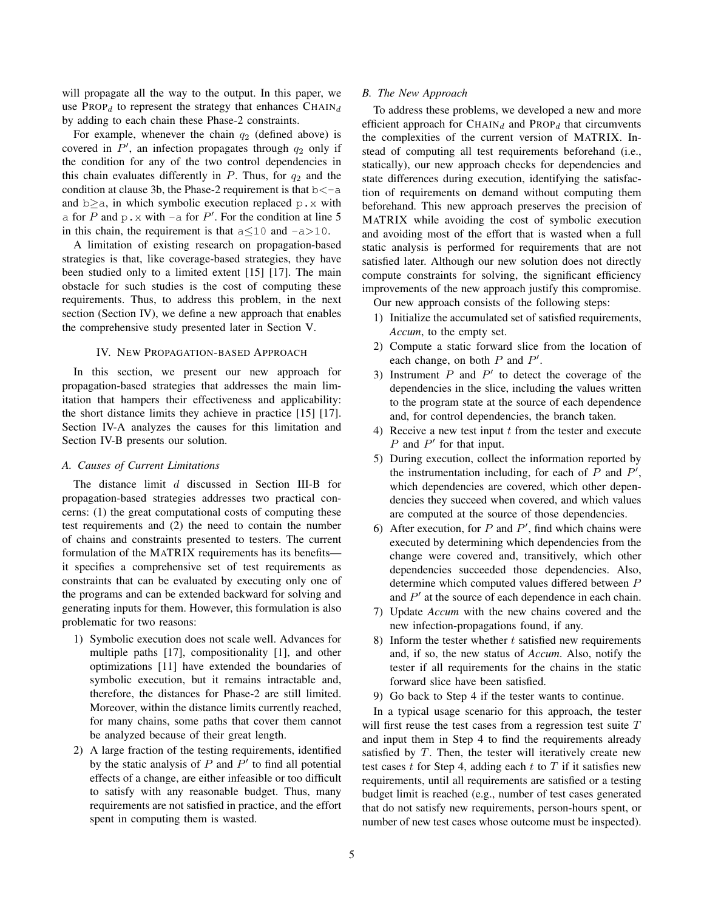will propagate all the way to the output. In this paper, we use  $PROP<sub>d</sub>$  to represent the strategy that enhances  $CHAIN<sub>d</sub>$ by adding to each chain these Phase-2 constraints.

For example, whenever the chain  $q_2$  (defined above) is covered in  $P'$ , an infection propagates through  $q_2$  only if the condition for any of the two control dependencies in this chain evaluates differently in  $P$ . Thus, for  $q_2$  and the condition at clause 3b, the Phase-2 requirement is that  $b < -a$ and  $b \ge a$ , in which symbolic execution replaced p.x with a for P and  $p \cdot x$  with  $-a$  for P'. For the condition at line 5 in this chain, the requirement is that  $a \le 10$  and  $-a \ge 10$ .

A limitation of existing research on propagation-based strategies is that, like coverage-based strategies, they have been studied only to a limited extent [15] [17]. The main obstacle for such studies is the cost of computing these requirements. Thus, to address this problem, in the next section (Section IV), we define a new approach that enables the comprehensive study presented later in Section V.

### IV. NEW PROPAGATION-BASED APPROACH

In this section, we present our new approach for propagation-based strategies that addresses the main limitation that hampers their effectiveness and applicability: the short distance limits they achieve in practice [15] [17]. Section IV-A analyzes the causes for this limitation and Section IV-B presents our solution.

#### *A. Causes of Current Limitations*

The distance limit d discussed in Section III-B for propagation-based strategies addresses two practical concerns: (1) the great computational costs of computing these test requirements and (2) the need to contain the number of chains and constraints presented to testers. The current formulation of the MATRIX requirements has its benefits it specifies a comprehensive set of test requirements as constraints that can be evaluated by executing only one of the programs and can be extended backward for solving and generating inputs for them. However, this formulation is also problematic for two reasons:

- 1) Symbolic execution does not scale well. Advances for multiple paths [17], compositionality [1], and other optimizations [11] have extended the boundaries of symbolic execution, but it remains intractable and, therefore, the distances for Phase-2 are still limited. Moreover, within the distance limits currently reached, for many chains, some paths that cover them cannot be analyzed because of their great length.
- 2) A large fraction of the testing requirements, identified by the static analysis of  $P$  and  $P'$  to find all potential effects of a change, are either infeasible or too difficult to satisfy with any reasonable budget. Thus, many requirements are not satisfied in practice, and the effort spent in computing them is wasted.

#### *B. The New Approach*

To address these problems, we developed a new and more efficient approach for  $\text{CHAIN}_d$  and  $\text{PROP}_d$  that circumvents the complexities of the current version of MATRIX. Instead of computing all test requirements beforehand (i.e., statically), our new approach checks for dependencies and state differences during execution, identifying the satisfaction of requirements on demand without computing them beforehand. This new approach preserves the precision of MATRIX while avoiding the cost of symbolic execution and avoiding most of the effort that is wasted when a full static analysis is performed for requirements that are not satisfied later. Although our new solution does not directly compute constraints for solving, the significant efficiency improvements of the new approach justify this compromise.

Our new approach consists of the following steps:

- 1) Initialize the accumulated set of satisfied requirements, *Accum*, to the empty set.
- 2) Compute a static forward slice from the location of each change, on both  $P$  and  $P'$ .
- 3) Instrument  $P$  and  $P'$  to detect the coverage of the dependencies in the slice, including the values written to the program state at the source of each dependence and, for control dependencies, the branch taken.
- 4) Receive a new test input  $t$  from the tester and execute  $P$  and  $P'$  for that input.
- 5) During execution, collect the information reported by the instrumentation including, for each of  $P$  and  $P'$ , which dependencies are covered, which other dependencies they succeed when covered, and which values are computed at the source of those dependencies.
- 6) After execution, for  $P$  and  $P'$ , find which chains were executed by determining which dependencies from the change were covered and, transitively, which other dependencies succeeded those dependencies. Also, determine which computed values differed between P and  $P'$  at the source of each dependence in each chain.
- 7) Update *Accum* with the new chains covered and the new infection-propagations found, if any.
- 8) Inform the tester whether  $t$  satisfied new requirements and, if so, the new status of *Accum*. Also, notify the tester if all requirements for the chains in the static forward slice have been satisfied.
- 9) Go back to Step 4 if the tester wants to continue.

In a typical usage scenario for this approach, the tester will first reuse the test cases from a regression test suite T and input them in Step 4 to find the requirements already satisfied by  $T$ . Then, the tester will iteratively create new test cases t for Step 4, adding each t to  $T$  if it satisfies new requirements, until all requirements are satisfied or a testing budget limit is reached (e.g., number of test cases generated that do not satisfy new requirements, person-hours spent, or number of new test cases whose outcome must be inspected).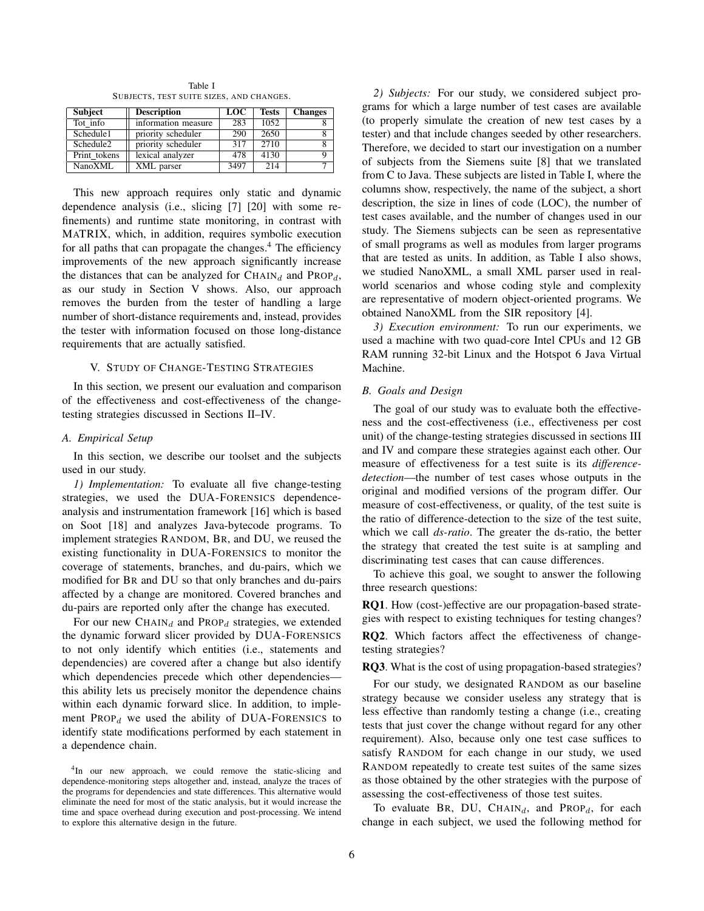SUBJECTS, TEST SUITE SIZES, AND CHANGES. Subject | Description | LOC | Tests | Changes Tot\_info information measure 283 1052

Table I

| 101 HH.               | ппотпанон теазиге  | $-1.7.7$ | $\cdots$ |  |
|-----------------------|--------------------|----------|----------|--|
| Schedule1             | priority scheduler | 290      | 2650     |  |
| Schedule <sub>2</sub> | priority scheduler | 317      | 2710     |  |
| Print tokens          | lexical analyzer   | 478      | 4130     |  |
| NanoXML               | XML parser         | 3497     | 214      |  |

This new approach requires only static and dynamic dependence analysis (i.e., slicing [7] [20] with some refinements) and runtime state monitoring, in contrast with MATRIX, which, in addition, requires symbolic execution for all paths that can propagate the changes.<sup>4</sup> The efficiency improvements of the new approach significantly increase the distances that can be analyzed for CHAIN<sub>d</sub> and PROP<sub>d</sub>, as our study in Section V shows. Also, our approach removes the burden from the tester of handling a large number of short-distance requirements and, instead, provides the tester with information focused on those long-distance requirements that are actually satisfied.

# V. STUDY OF CHANGE-TESTING STRATEGIES

In this section, we present our evaluation and comparison of the effectiveness and cost-effectiveness of the changetesting strategies discussed in Sections II–IV.

#### *A. Empirical Setup*

In this section, we describe our toolset and the subjects used in our study.

*1) Implementation:* To evaluate all five change-testing strategies, we used the DUA-FORENSICS dependenceanalysis and instrumentation framework [16] which is based on Soot [18] and analyzes Java-bytecode programs. To implement strategies RANDOM, BR, and DU, we reused the existing functionality in DUA-FORENSICS to monitor the coverage of statements, branches, and du-pairs, which we modified for BR and DU so that only branches and du-pairs affected by a change are monitored. Covered branches and du-pairs are reported only after the change has executed.

For our new CHAIN<sub>d</sub> and PROP<sub>d</sub> strategies, we extended the dynamic forward slicer provided by DUA-FORENSICS to not only identify which entities (i.e., statements and dependencies) are covered after a change but also identify which dependencies precede which other dependencies this ability lets us precisely monitor the dependence chains within each dynamic forward slice. In addition, to implement  $PROP<sub>d</sub>$  we used the ability of DUA-FORENSICS to identify state modifications performed by each statement in a dependence chain.

*2) Subjects:* For our study, we considered subject programs for which a large number of test cases are available (to properly simulate the creation of new test cases by a tester) and that include changes seeded by other researchers. Therefore, we decided to start our investigation on a number of subjects from the Siemens suite [8] that we translated from C to Java. These subjects are listed in Table I, where the columns show, respectively, the name of the subject, a short description, the size in lines of code (LOC), the number of test cases available, and the number of changes used in our study. The Siemens subjects can be seen as representative of small programs as well as modules from larger programs that are tested as units. In addition, as Table I also shows, we studied NanoXML, a small XML parser used in realworld scenarios and whose coding style and complexity are representative of modern object-oriented programs. We obtained NanoXML from the SIR repository [4].

*3) Execution environment:* To run our experiments, we used a machine with two quad-core Intel CPUs and 12 GB RAM running 32-bit Linux and the Hotspot 6 Java Virtual Machine.

#### *B. Goals and Design*

The goal of our study was to evaluate both the effectiveness and the cost-effectiveness (i.e., effectiveness per cost unit) of the change-testing strategies discussed in sections III and IV and compare these strategies against each other. Our measure of effectiveness for a test suite is its *differencedetection*—the number of test cases whose outputs in the original and modified versions of the program differ. Our measure of cost-effectiveness, or quality, of the test suite is the ratio of difference-detection to the size of the test suite, which we call *ds-ratio*. The greater the ds-ratio, the better the strategy that created the test suite is at sampling and discriminating test cases that can cause differences.

To achieve this goal, we sought to answer the following three research questions:

RQ1. How (cost-)effective are our propagation-based strategies with respect to existing techniques for testing changes?

RQ2. Which factors affect the effectiveness of changetesting strategies?

RQ3. What is the cost of using propagation-based strategies?

For our study, we designated RANDOM as our baseline strategy because we consider useless any strategy that is less effective than randomly testing a change (i.e., creating tests that just cover the change without regard for any other requirement). Also, because only one test case suffices to satisfy RANDOM for each change in our study, we used RANDOM repeatedly to create test suites of the same sizes as those obtained by the other strategies with the purpose of assessing the cost-effectiveness of those test suites.

To evaluate BR, DU, CHAIN<sub>d</sub>, and PROP<sub>d</sub>, for each change in each subject, we used the following method for

<sup>&</sup>lt;sup>4</sup>In our new approach, we could remove the static-slicing and dependence-monitoring steps altogether and, instead, analyze the traces of the programs for dependencies and state differences. This alternative would eliminate the need for most of the static analysis, but it would increase the time and space overhead during execution and post-processing. We intend to explore this alternative design in the future.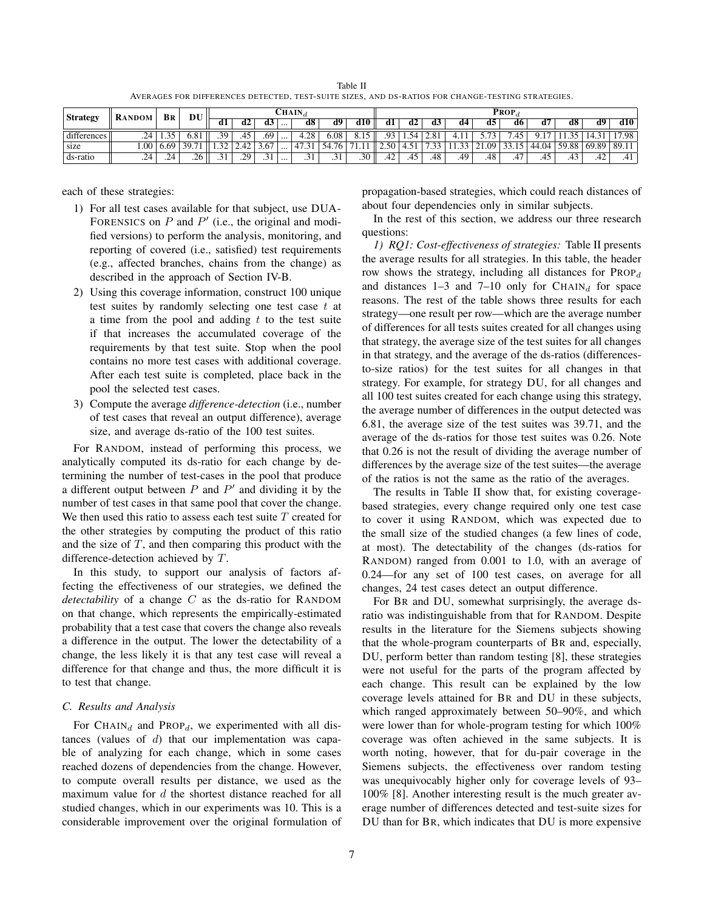Table II AVERAGES FOR DIFFERENCES DETECTED, TEST-SUITE SIZES, AND DS-RATIOS FOR CHANGE-TESTING STRATEGIES.

| <b>Strategy</b> | <b>RANDOM</b> | BR   | DU  | <b>CHAIN</b> a |          |                  |          |               |                 | PROP.            |     |                |             |                  |      |      |               |       |          |                    |
|-----------------|---------------|------|-----|----------------|----------|------------------|----------|---------------|-----------------|------------------|-----|----------------|-------------|------------------|------|------|---------------|-------|----------|--------------------|
|                 |               |      |     | d1             | d2       | a s              |          | d8            | d9              | $\overline{d10}$ | dl  | αz             | ďЗ          | d4               | d5   | db   | ď             | d8    | d9       | $\overline{d10}$   |
| differences     | 24            | .    |     | 39             | .45      | .69 <sup>1</sup> | $\cdots$ | 4.28          | 6.08            | 8.15             | q٩  | 1.54           | 2.81        | 4.1 <sub>1</sub> |      | .45  | u.<br><b></b> |       |          | 17.98 <sub>1</sub> |
| size            | .00           | 6.69 | 39  | 32             | 42<br>т∠ | 3.67             | $\cdots$ |               | 76 <sub>1</sub> |                  | 50  | 5.<br>ر        | ר ר<br>1.33 | $\Omega$<br>-4   | . 09 | 2215 | 44.04         | 59.88 | $+69.89$ | 89.11              |
| ds-ratio        | $2\pi$        | .24  | 26. | 21             | .29      | $\sim$           | $\cdots$ | $^{\sim}$<br> |                 | 30               | .42 | 4 <sup>5</sup> | .48         | .49              | .48  |      |               |       | .42      |                    |

each of these strategies:

- 1) For all test cases available for that subject, use DUA-FORENSICS on  $P$  and  $P'$  (i.e., the original and modified versions) to perform the analysis, monitoring, and reporting of covered (i.e., satisfied) test requirements (e.g., affected branches, chains from the change) as described in the approach of Section IV-B.
- 2) Using this coverage information, construct 100 unique test suites by randomly selecting one test case t at a time from the pool and adding  $t$  to the test suite if that increases the accumulated coverage of the requirements by that test suite. Stop when the pool contains no more test cases with additional coverage. After each test suite is completed, place back in the pool the selected test cases.
- 3) Compute the average *difference-detection* (i.e., number of test cases that reveal an output difference), average size, and average ds-ratio of the 100 test suites.

For RANDOM, instead of performing this process, we analytically computed its ds-ratio for each change by determining the number of test-cases in the pool that produce a different output between  $P$  and  $P'$  and dividing it by the number of test cases in that same pool that cover the change. We then used this ratio to assess each test suite  $T$  created for the other strategies by computing the product of this ratio and the size of  $T$ , and then comparing this product with the difference-detection achieved by T.

In this study, to support our analysis of factors affecting the effectiveness of our strategies, we defined the *detectability* of a change C as the ds-ratio for RANDOM on that change, which represents the empirically-estimated probability that a test case that covers the change also reveals a difference in the output. The lower the detectability of a change, the less likely it is that any test case will reveal a difference for that change and thus, the more difficult it is to test that change.

#### *C. Results and Analysis*

For CHAIN<sub>d</sub> and PROP<sub>d</sub>, we experimented with all distances (values of d) that our implementation was capable of analyzing for each change, which in some cases reached dozens of dependencies from the change. However, to compute overall results per distance, we used as the maximum value for  $d$  the shortest distance reached for all studied changes, which in our experiments was 10. This is a considerable improvement over the original formulation of propagation-based strategies, which could reach distances of about four dependencies only in similar subjects.

In the rest of this section, we address our three research questions:

*1) RQ1: Cost-effectiveness of strategies:* Table II presents the average results for all strategies. In this table, the header row shows the strategy, including all distances for  $PROP<sub>d</sub>$ and distances  $1-3$  and  $7-10$  only for CHAIN<sub>d</sub> for space reasons. The rest of the table shows three results for each strategy—one result per row—which are the average number of differences for all tests suites created for all changes using that strategy, the average size of the test suites for all changes in that strategy, and the average of the ds-ratios (differencesto-size ratios) for the test suites for all changes in that strategy. For example, for strategy DU, for all changes and all 100 test suites created for each change using this strategy, the average number of differences in the output detected was 6.81, the average size of the test suites was 39.71, and the average of the ds-ratios for those test suites was 0.26. Note that 0.26 is not the result of dividing the average number of differences by the average size of the test suites—the average of the ratios is not the same as the ratio of the averages.

The results in Table II show that, for existing coveragebased strategies, every change required only one test case to cover it using RANDOM, which was expected due to the small size of the studied changes (a few lines of code, at most). The detectability of the changes (ds-ratios for RANDOM) ranged from 0.001 to 1.0, with an average of 0.24—for any set of 100 test cases, on average for all changes, 24 test cases detect an output difference.

For BR and DU, somewhat surprisingly, the average dsratio was indistinguishable from that for RANDOM. Despite results in the literature for the Siemens subjects showing that the whole-program counterparts of BR and, especially, DU, perform better than random testing [8], these strategies were not useful for the parts of the program affected by each change. This result can be explained by the low coverage levels attained for BR and DU in these subjects, which ranged approximately between 50–90%, and which were lower than for whole-program testing for which 100% coverage was often achieved in the same subjects. It is worth noting, however, that for du-pair coverage in the Siemens subjects, the effectiveness over random testing was unequivocably higher only for coverage levels of 93– 100% [8]. Another interesting result is the much greater average number of differences detected and test-suite sizes for DU than for BR, which indicates that DU is more expensive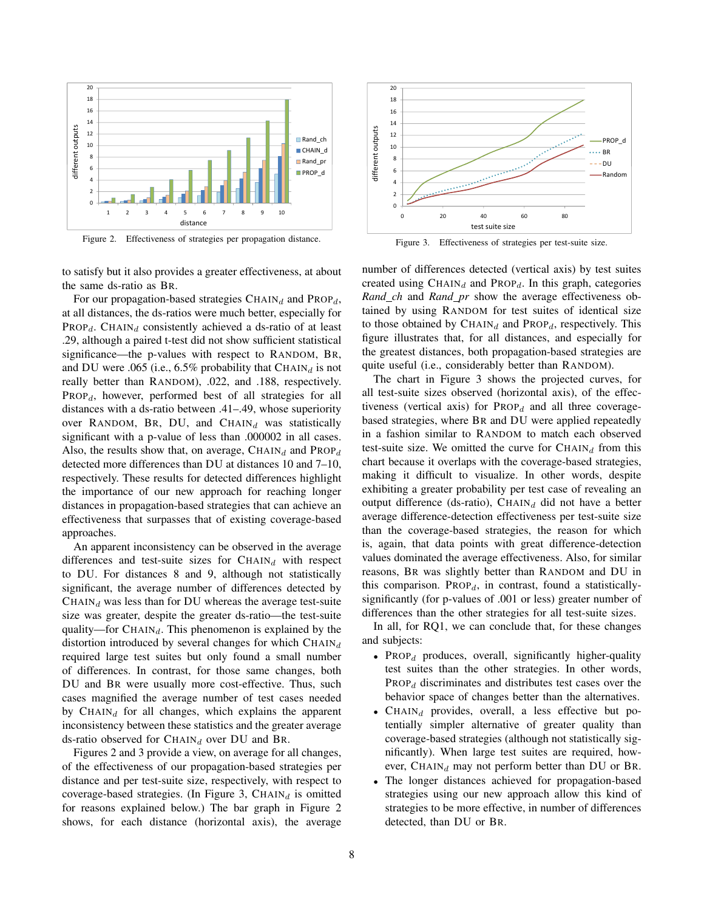

Figure 2. Effectiveness of strategies per propagation distance.

to satisfy but it also provides a greater effectiveness, at about the same ds-ratio as BR.

For our propagation-based strategies  $\text{CHAIN}_d$  and  $\text{PROP}_d$ , at all distances, the ds-ratios were much better, especially for PROP<sub>d</sub>. CHAIN<sub>d</sub> consistently achieved a ds-ratio of at least .29, although a paired t-test did not show sufficient statistical significance—the p-values with respect to RANDOM, BR, and DU were .065 (i.e., 6.5% probability that  $\text{CHAIN}_d$  is not really better than RANDOM), .022, and .188, respectively.  $PROP<sub>d</sub>$ , however, performed best of all strategies for all distances with a ds-ratio between .41–.49, whose superiority over RANDOM, BR, DU, and  $CHAIN<sub>d</sub>$  was statistically significant with a p-value of less than .000002 in all cases. Also, the results show that, on average, CHAIN<sub>d</sub> and PROP<sub>d</sub> detected more differences than DU at distances 10 and 7–10, respectively. These results for detected differences highlight the importance of our new approach for reaching longer distances in propagation-based strategies that can achieve an effectiveness that surpasses that of existing coverage-based approaches.

An apparent inconsistency can be observed in the average differences and test-suite sizes for  $CHAIN<sub>d</sub>$  with respect to DU. For distances 8 and 9, although not statistically significant, the average number of differences detected by  $CHAIN<sub>d</sub>$  was less than for DU whereas the average test-suite size was greater, despite the greater ds-ratio—the test-suite quality—for  $CHAIN<sub>d</sub>$ . This phenomenon is explained by the distortion introduced by several changes for which  $\text{CHAIN}_d$ required large test suites but only found a small number of differences. In contrast, for those same changes, both DU and BR were usually more cost-effective. Thus, such cases magnified the average number of test cases needed by  $CHAIN<sub>d</sub>$  for all changes, which explains the apparent inconsistency between these statistics and the greater average ds-ratio observed for CHAIN $_d$  over DU and BR.

Figures 2 and 3 provide a view, on average for all changes, of the effectiveness of our propagation-based strategies per distance and per test-suite size, respectively, with respect to coverage-based strategies. (In Figure 3,  $CHAIN<sub>d</sub>$  is omitted for reasons explained below.) The bar graph in Figure 2 shows, for each distance (horizontal axis), the average



Figure 3. Effectiveness of strategies per test-suite size.

number of differences detected (vertical axis) by test suites created using  $CHAIN<sub>d</sub>$  and  $PROP<sub>d</sub>$ . In this graph, categories *Rand ch* and *Rand pr* show the average effectiveness obtained by using RANDOM for test suites of identical size to those obtained by  $CHAIN<sub>d</sub>$  and  $PROP<sub>d</sub>$ , respectively. This figure illustrates that, for all distances, and especially for the greatest distances, both propagation-based strategies are quite useful (i.e., considerably better than RANDOM).

The chart in Figure 3 shows the projected curves, for all test-suite sizes observed (horizontal axis), of the effectiveness (vertical axis) for  $\text{PROP}_d$  and all three coveragebased strategies, where BR and DU were applied repeatedly in a fashion similar to RANDOM to match each observed test-suite size. We omitted the curve for  $CHAIN<sub>d</sub>$  from this chart because it overlaps with the coverage-based strategies, making it difficult to visualize. In other words, despite exhibiting a greater probability per test case of revealing an output difference (ds-ratio),  $CHAIN<sub>d</sub>$  did not have a better average difference-detection effectiveness per test-suite size than the coverage-based strategies, the reason for which is, again, that data points with great difference-detection values dominated the average effectiveness. Also, for similar reasons, BR was slightly better than RANDOM and DU in this comparison. PROP $_d$ , in contrast, found a statisticallysignificantly (for p-values of .001 or less) greater number of differences than the other strategies for all test-suite sizes.

In all, for RQ1, we can conclude that, for these changes and subjects:

- PROP<sub>d</sub> produces, overall, significantly higher-quality test suites than the other strategies. In other words,  $PROP<sub>d</sub>$  discriminates and distributes test cases over the behavior space of changes better than the alternatives.
- CHAIN<sub>d</sub> provides, overall, a less effective but potentially simpler alternative of greater quality than coverage-based strategies (although not statistically significantly). When large test suites are required, however,  $CHAIN<sub>d</sub>$  may not perform better than DU or BR.
- The longer distances achieved for propagation-based strategies using our new approach allow this kind of strategies to be more effective, in number of differences detected, than DU or BR.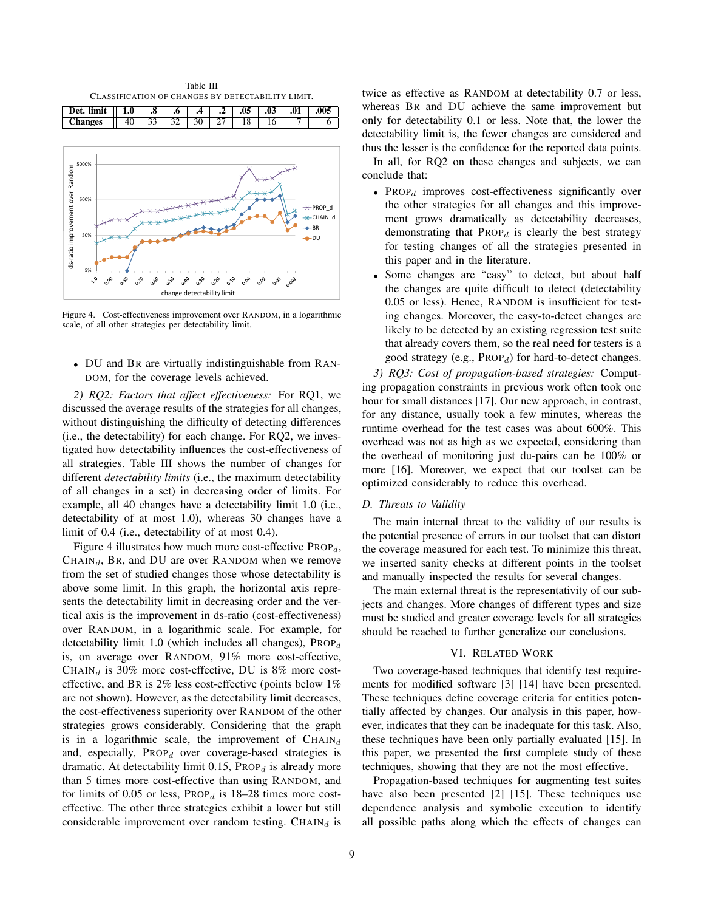Table III CLASSIFICATION OF CHANGES BY DETECTABILITY LIMIT. Det. limit 1.0 .8 .6 .4 .2 .05 .03 .01 .005



Figure 4. Cost-effectiveness improvement over RANDOM, in a logarithmic scale, of all other strategies per detectability limit.

• DU and BR are virtually indistinguishable from RAN-DOM, for the coverage levels achieved.

*2) RQ2: Factors that affect effectiveness:* For RQ1, we discussed the average results of the strategies for all changes, without distinguishing the difficulty of detecting differences (i.e., the detectability) for each change. For RQ2, we investigated how detectability influences the cost-effectiveness of all strategies. Table III shows the number of changes for different *detectability limits* (i.e., the maximum detectability of all changes in a set) in decreasing order of limits. For example, all 40 changes have a detectability limit 1.0 (i.e., detectability of at most 1.0), whereas 30 changes have a limit of 0.4 (i.e., detectability of at most 0.4).

Figure 4 illustrates how much more cost-effective  $PROP<sub>d</sub>$ ,  $CHAIN<sub>d</sub>$ , BR, and DU are over RANDOM when we remove from the set of studied changes those whose detectability is above some limit. In this graph, the horizontal axis represents the detectability limit in decreasing order and the vertical axis is the improvement in ds-ratio (cost-effectiveness) over RANDOM, in a logarithmic scale. For example, for detectability limit 1.0 (which includes all changes),  $PROP<sub>d</sub>$ is, on average over RANDOM, 91% more cost-effective, CHAIN<sub>d</sub> is 30% more cost-effective, DU is 8% more costeffective, and BR is 2% less cost-effective (points below 1% are not shown). However, as the detectability limit decreases, the cost-effectiveness superiority over RANDOM of the other strategies grows considerably. Considering that the graph is in a logarithmic scale, the improvement of  $CHAIN<sub>d</sub>$ and, especially,  $PROP<sub>d</sub>$  over coverage-based strategies is dramatic. At detectability limit 0.15,  $PROP<sub>d</sub>$  is already more than 5 times more cost-effective than using RANDOM, and for limits of 0.05 or less,  $PROP<sub>d</sub>$  is 18–28 times more costeffective. The other three strategies exhibit a lower but still considerable improvement over random testing. CHAIN $_d$  is twice as effective as RANDOM at detectability 0.7 or less, whereas BR and DU achieve the same improvement but only for detectability 0.1 or less. Note that, the lower the detectability limit is, the fewer changes are considered and thus the lesser is the confidence for the reported data points.

In all, for RQ2 on these changes and subjects, we can conclude that:

- PROP<sub>d</sub> improves cost-effectiveness significantly over the other strategies for all changes and this improvement grows dramatically as detectability decreases, demonstrating that  $PROP<sub>d</sub>$  is clearly the best strategy for testing changes of all the strategies presented in this paper and in the literature.
- Some changes are "easy" to detect, but about half the changes are quite difficult to detect (detectability 0.05 or less). Hence, RANDOM is insufficient for testing changes. Moreover, the easy-to-detect changes are likely to be detected by an existing regression test suite that already covers them, so the real need for testers is a good strategy (e.g.,  $PROP_d$ ) for hard-to-detect changes.

*3) RQ3: Cost of propagation-based strategies:* Computing propagation constraints in previous work often took one hour for small distances [17]. Our new approach, in contrast, for any distance, usually took a few minutes, whereas the runtime overhead for the test cases was about 600%. This overhead was not as high as we expected, considering than the overhead of monitoring just du-pairs can be 100% or more [16]. Moreover, we expect that our toolset can be optimized considerably to reduce this overhead.

# *D. Threats to Validity*

The main internal threat to the validity of our results is the potential presence of errors in our toolset that can distort the coverage measured for each test. To minimize this threat, we inserted sanity checks at different points in the toolset and manually inspected the results for several changes.

The main external threat is the representativity of our subjects and changes. More changes of different types and size must be studied and greater coverage levels for all strategies should be reached to further generalize our conclusions.

#### VI. RELATED WORK

Two coverage-based techniques that identify test requirements for modified software [3] [14] have been presented. These techniques define coverage criteria for entities potentially affected by changes. Our analysis in this paper, however, indicates that they can be inadequate for this task. Also, these techniques have been only partially evaluated [15]. In this paper, we presented the first complete study of these techniques, showing that they are not the most effective.

Propagation-based techniques for augmenting test suites have also been presented [2] [15]. These techniques use dependence analysis and symbolic execution to identify all possible paths along which the effects of changes can